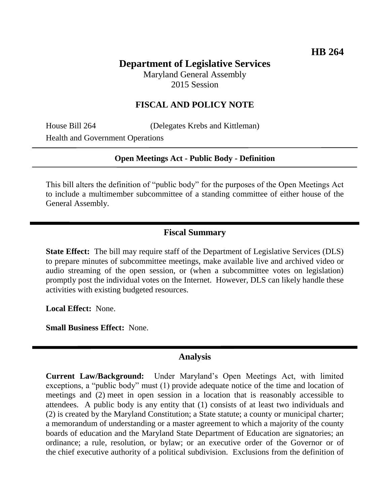# **Department of Legislative Services**

Maryland General Assembly 2015 Session

### **FISCAL AND POLICY NOTE**

House Bill 264 (Delegates Krebs and Kittleman) Health and Government Operations

#### **Open Meetings Act - Public Body - Definition**

This bill alters the definition of "public body" for the purposes of the Open Meetings Act to include a multimember subcommittee of a standing committee of either house of the General Assembly.

### **Fiscal Summary**

**State Effect:** The bill may require staff of the Department of Legislative Services (DLS) to prepare minutes of subcommittee meetings, make available live and archived video or audio streaming of the open session, or (when a subcommittee votes on legislation) promptly post the individual votes on the Internet. However, DLS can likely handle these activities with existing budgeted resources.

**Local Effect:** None.

**Small Business Effect:** None.

#### **Analysis**

**Current Law/Background:** Under Maryland's Open Meetings Act, with limited exceptions, a "public body" must (1) provide adequate notice of the time and location of meetings and (2) meet in open session in a location that is reasonably accessible to attendees. A public body is any entity that (1) consists of at least two individuals and (2) is created by the Maryland Constitution; a State statute; a county or municipal charter; a memorandum of understanding or a master agreement to which a majority of the county boards of education and the Maryland State Department of Education are signatories; an ordinance; a rule, resolution, or bylaw; or an executive order of the Governor or of the chief executive authority of a political subdivision. Exclusions from the definition of